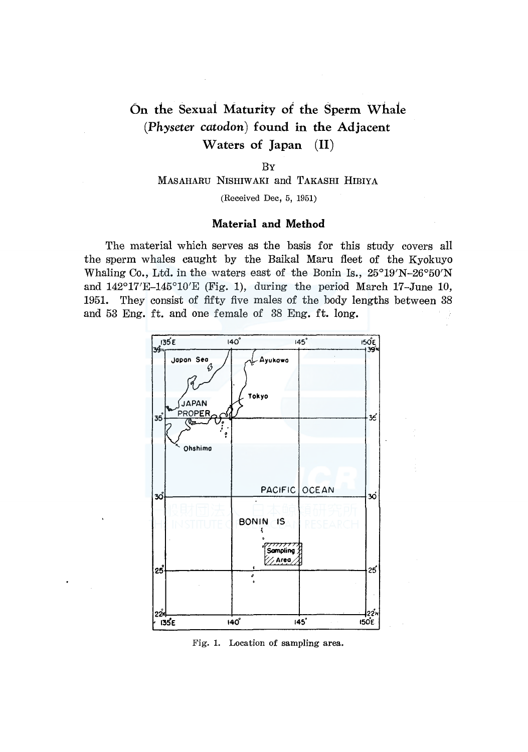# On the Sexuai Maturity of the Sperm Whaie *(Physeter catodon)* found in the Adjacent Waters of Japan (II)

#### BY

### MASAHARU NISHIWAKI and TAKASHI HIBIYA

(Received Dec, 5, 1951)

#### Material and Method

The material which serves as the basis for this study covers all the sperm whales caught by the Baikal Maru fleet of the Kyokuyo Whaling Co., Ltd. in the waters east of the Bonin Is., 25°19'N-26°50'N and 142°17'E-145°10'E (Fig. 1), during the period March 17-June 10, 1951. They consist of fifty five males of the body lengths between 38 and 53 Eng. ft. and one female of 38 Eng. ft. long.



Fig. 1. Location of sampling area.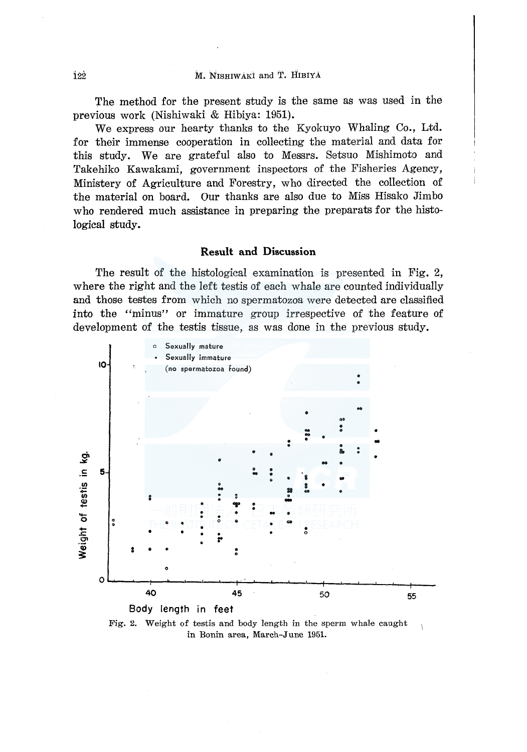The method for the present study is the same as was used in the previous work (Nishiwaki & Hibiya: 1951).

We express our hearty thanks to the Kyokuyo Whaling Co., Ltd. for their immense cooperation in collecting the material and data for this study. We are grateful also to Messrs. Setsuo Mishimoto and Takehiko Kawakami, government inspectors of the Fisheries Agency, Ministery of Agriculture and Forestry, who directed the collection of the material on board. Our thanks are also due to Miss Hisako Jimbo who rendered much assistance in preparing the preparats for the histological study.

## Result and Discussion

The result of the histological examination is presented in Fig. 2, where the right and the left testis of each whale are counted individually and those testes from which no spermatozoa were detected are classified into the "minus" or immature group irrespective of the feature of development of the testis tissue, as was done in the previous study.



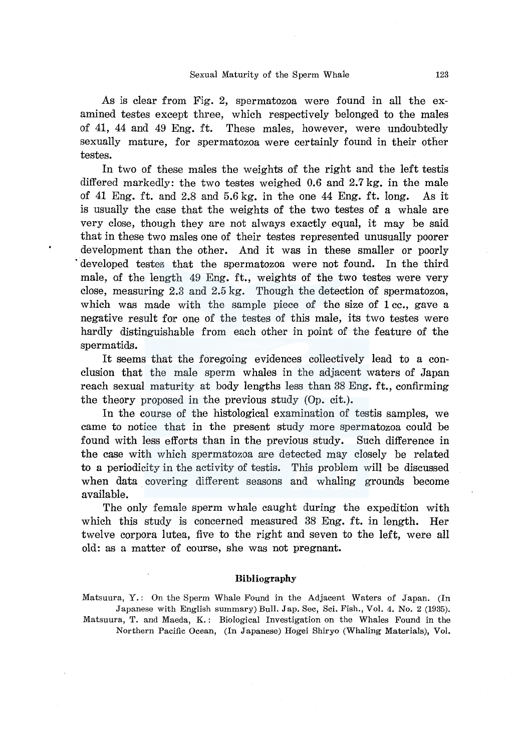As is clear from Fig. 2, spermatozoa were found in all the examined testes except three, which respectively belonged to the males of 41, 44 and 49 Eng. ft. These males, however, were undoubtedly sexually mature, for spermatozoa were certainly found in their other testes.

In two of these males the weights of the right and the left testis differed markedly: the two testes weighed 0.6 and 2.7 kg. in the male of 41 Eng. ft. and 2.8 and 5.6 kg. in the one 44 Eng. ft. long. As it is usually the case that the weights of the two testes of a whale are very close, though they are not always exactly equal, it may be said that in these two males one of their testes represented unusually poorer development than the other. And it was in these smaller or poorly developed testes that the spermatozoa were not found. In the third male, of the length 49 Eng. ft., weights of the two testes were very close, measuring 2.3 and 2.5 kg. Though the detection of spermatozoa, which was made with the sample piece of the size of 1 cc., gave a negative result for one of the testes of this male, its two testes were hardly distinguishable from each other in point of the feature of the spermatids.

It seems that the foregoing evidences collectively lead to a conclusion that the male sperm whales in the adjacent waters of Japan reach sexual maturity at body lengths less than 38 Eng. ft., confirming the theory proposed in the previous study (Op. cit.).

In the course of the histological examination of testis samples, we came to notice that in the present study more spermatozoa could be found with less efforts than in the previous study. Such difference in the case with which spermatozoa are detected may closely be related to a periodicity in the activity of testis. This problem will be discussed when data covering different seasons and whaling grounds become available.

The only female sperm whale caught during the expedition with which this study is concerned measured 38 Eng. ft. in length. Her twelve corpora lutea, five to the right and seven to the left, were all old: as a matter of course, she was not pregnant.

#### Bibliography

Matsuura, Y.: On the Sperm Whale Found in the Adjacent Waters of Japan. (In Japanese with English summary) Bull. Jap. Sec, Sci. Fish., Vol. 4. No. 2 (1935). Matsuura, T. and Maeda, K.: Biological Investigation on the Whales Found in the Northern Pacific Ocean, (In Japanese) Hogei Shiryo (Whaling Materials), Vol.